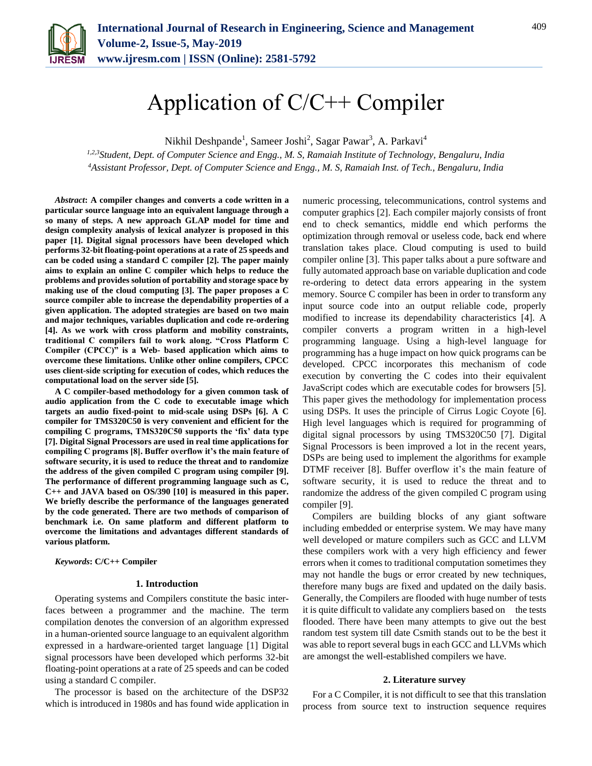

# Application of C/C++ Compiler

Nikhil Deshpande<sup>1</sup>, Sameer Joshi<sup>2</sup>, Sagar Pawar<sup>3</sup>, A. Parkavi<sup>4</sup>

*1,2,3Student, Dept. of Computer Science and Engg., M. S, Ramaiah Institute of Technology, Bengaluru, India <sup>4</sup>Assistant Professor, Dept. of Computer Science and Engg., M. S, Ramaiah Inst. of Tech., Bengaluru, India*

*Abstract***: A compiler changes and converts a code written in a particular source language into an equivalent language through a so many of steps. A new approach GLAP model for time and design complexity analysis of lexical analyzer is proposed in this paper [1]. Digital signal processors have been developed which performs 32-bit floating-point operations at a rate of 25 speeds and can be coded using a standard C compiler [2]. The paper mainly aims to explain an online C compiler which helps to reduce the problems and provides solution of portability and storage space by making use of the cloud computing [3]. The paper proposes a C source compiler able to increase the dependability properties of a given application. The adopted strategies are based on two main and major techniques, variables duplication and code re-ordering [4]. As we work with cross platform and mobility constraints, traditional C compilers fail to work along. "Cross Platform C Compiler (CPCC)" is a Web- based application which aims to overcome these limitations. Unlike other online compilers, CPCC uses client-side scripting for execution of codes, which reduces the computational load on the server side [5].**

**A C compiler-based methodology for a given common task of audio application from the C code to executable image which targets an audio fixed-point to mid-scale using DSPs [6]. A C compiler for TMS320C50 is very convenient and efficient for the compiling C programs, TMS320C50 supports the 'fix' data type [7]. Digital Signal Processors are used in real time applications for compiling C programs [8]. Buffer overflow it's the main feature of software security, it is used to reduce the threat and to randomize the address of the given compiled C program using compiler [9]. The performance of different programming language such as C, C++ and JAVA based on OS/390 [10] is measured in this paper. We briefly describe the performance of the languages generated by the code generated. There are two methods of comparison of benchmark i.e. On same platform and different platform to overcome the limitations and advantages different standards of various platform.**

*Keywords***: C/C++ Compiler**

## **1. Introduction**

Operating systems and Compilers constitute the basic interfaces between a programmer and the machine. The term compilation denotes the conversion of an algorithm expressed in a human-oriented source language to an equivalent algorithm expressed in a hardware-oriented target language [1] Digital signal processors have been developed which performs 32-bit floating-point operations at a rate of 25 speeds and can be coded using a standard C compiler.

The processor is based on the architecture of the DSP32 which is introduced in 1980s and has found wide application in numeric processing, telecommunications, control systems and computer graphics [2]. Each compiler majorly consists of front end to check semantics, middle end which performs the optimization through removal or useless code, back end where translation takes place. Cloud computing is used to build compiler online [3]. This paper talks about a pure software and fully automated approach base on variable duplication and code re-ordering to detect data errors appearing in the system memory. Source C compiler has been in order to transform any input source code into an output reliable code, properly modified to increase its dependability characteristics [4]. A compiler converts a program written in a high-level programming language. Using a high-level language for programming has a huge impact on how quick programs can be developed. CPCC incorporates this mechanism of code execution by converting the C codes into their equivalent JavaScript codes which are executable codes for browsers [5]. This paper gives the methodology for implementation process using DSPs. It uses the principle of Cirrus Logic Coyote [6]. High level languages which is required for programming of digital signal processors by using TMS320C50 [7]. Digital Signal Processors is been improved a lot in the recent years, DSPs are being used to implement the algorithms for example DTMF receiver [8]. Buffer overflow it's the main feature of software security, it is used to reduce the threat and to randomize the address of the given compiled C program using compiler [9].

Compilers are building blocks of any giant software including embedded or enterprise system. We may have many well developed or mature compilers such as GCC and LLVM these compilers work with a very high efficiency and fewer errors when it comes to traditional computation sometimes they may not handle the bugs or error created by new techniques, therefore many bugs are fixed and updated on the daily basis. Generally, the Compilers are flooded with huge number of tests it is quite difficult to validate any compliers based on the tests flooded. There have been many attempts to give out the best random test system till date Csmith stands out to be the best it was able to report several bugs in each GCC and LLVMs which are amongst the well-established compilers we have.

#### **2. Literature survey**

For a C Compiler, it is not difficult to see that this translation process from source text to instruction sequence requires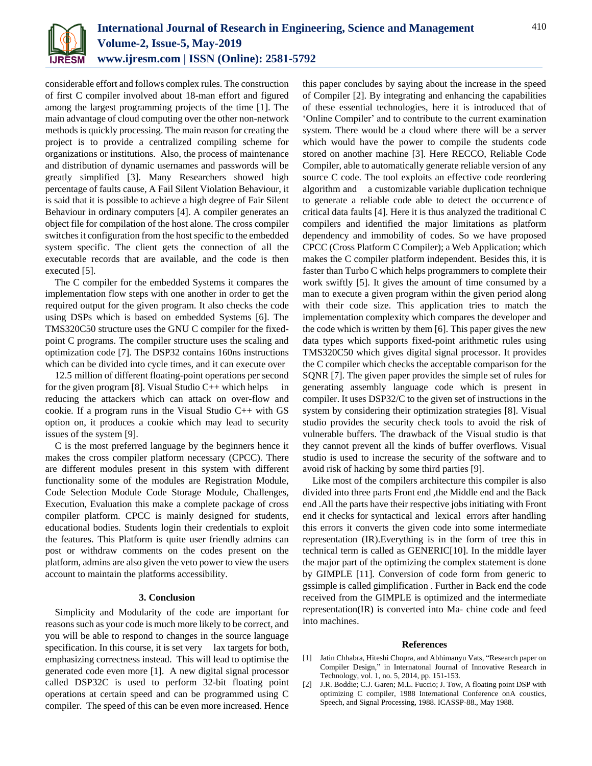

considerable effort and follows complex rules. The construction of first C compiler involved about 18-man effort and figured among the largest programming projects of the time [1]. The main advantage of cloud computing over the other non-network methods is quickly processing. The main reason for creating the project is to provide a centralized compiling scheme for organizations or institutions. Also, the process of maintenance and distribution of dynamic usernames and passwords will be greatly simplified [3]. Many Researchers showed high percentage of faults cause, A Fail Silent Violation Behaviour, it is said that it is possible to achieve a high degree of Fair Silent Behaviour in ordinary computers [4]. A compiler generates an object file for compilation of the host alone. The cross compiler switches it configuration from the host specific to the embedded system specific. The client gets the connection of all the executable records that are available, and the code is then executed [5].

The C compiler for the embedded Systems it compares the implementation flow steps with one another in order to get the required output for the given program. It also checks the code using DSPs which is based on embedded Systems [6]. The TMS320C50 structure uses the GNU C compiler for the fixedpoint C programs. The compiler structure uses the scaling and optimization code [7]. The DSP32 contains 160ns instructions which can be divided into cycle times, and it can execute over

12.5 million of different floating-point operations per second for the given program [8]. Visual Studio  $C_{++}$  which helps in reducing the attackers which can attack on over-flow and cookie. If a program runs in the Visual Studio  $C_{++}$  with GS option on, it produces a cookie which may lead to security issues of the system [9].

C is the most preferred language by the beginners hence it makes the cross compiler platform necessary (CPCC). There are different modules present in this system with different functionality some of the modules are Registration Module, Code Selection Module Code Storage Module, Challenges, Execution, Evaluation this make a complete package of cross compiler platform. CPCC is mainly designed for students, educational bodies. Students login their credentials to exploit the features. This Platform is quite user friendly admins can post or withdraw comments on the codes present on the platform, admins are also given the veto power to view the users account to maintain the platforms accessibility.

# **3. Conclusion**

Simplicity and Modularity of the code are important for reasons such as your code is much more likely to be correct, and you will be able to respond to changes in the source language specification. In this course, it is set very lax targets for both, emphasizing correctness instead. This will lead to optimise the generated code even more [1]. A new digital signal processor called DSP32C is used to perform 32-bit floating point operations at certain speed and can be programmed using C compiler. The speed of this can be even more increased. Hence

this paper concludes by saying about the increase in the speed of Compiler [2]. By integrating and enhancing the capabilities of these essential technologies, here it is introduced that of 'Online Compiler' and to contribute to the current examination system. There would be a cloud where there will be a server which would have the power to compile the students code stored on another machine [3]. Here RECCO, Reliable Code Compiler, able to automatically generate reliable version of any source C code. The tool exploits an effective code reordering algorithm and a customizable variable duplication technique to generate a reliable code able to detect the occurrence of critical data faults [4]. Here it is thus analyzed the traditional C compilers and identified the major limitations as platform dependency and immobility of codes. So we have proposed CPCC (Cross Platform C Compiler); a Web Application; which makes the C compiler platform independent. Besides this, it is faster than Turbo C which helps programmers to complete their work swiftly [5]. It gives the amount of time consumed by a man to execute a given program within the given period along with their code size. This application tries to match the implementation complexity which compares the developer and the code which is written by them [6]. This paper gives the new data types which supports fixed-point arithmetic rules using TMS320C50 which gives digital signal processor. It provides the C compiler which checks the acceptable comparison for the SQNR [7]. The given paper provides the simple set of rules for generating assembly language code which is present in compiler. It uses DSP32/C to the given set of instructions in the system by considering their optimization strategies [8]. Visual studio provides the security check tools to avoid the risk of vulnerable buffers. The drawback of the Visual studio is that they cannot prevent all the kinds of buffer overflows. Visual studio is used to increase the security of the software and to avoid risk of hacking by some third parties [9].

Like most of the compilers architecture this compiler is also divided into three parts Front end ,the Middle end and the Back end .All the parts have their respective jobs initiating with Front end it checks for syntactical and lexical errors after handling this errors it converts the given code into some intermediate representation (IR).Everything is in the form of tree this in technical term is called as GENERIC[10]. In the middle layer the major part of the optimizing the complex statement is done by GIMPLE [11]. Conversion of code form from generic to gssimple is called gimplification . Further in Back end the code received from the GIMPLE is optimized and the intermediate representation(IR) is converted into Ma- chine code and feed into machines.

## **References**

- [1] Jatin Chhabra, Hiteshi Chopra, and Abhimanyu Vats, "Research paper on Compiler Design," in Internatonal Journal of Innovative Research in Technology, vol. 1, no. 5, 2014, pp. 151-153.
- [2] J.R. Boddie; C.J. Garen; M.L. Fuccio; J. Tow, A floating point DSP with optimizing C compiler, 1988 International Conference onA coustics, Speech, and Signal Processing, 1988. ICASSP-88., May 1988.